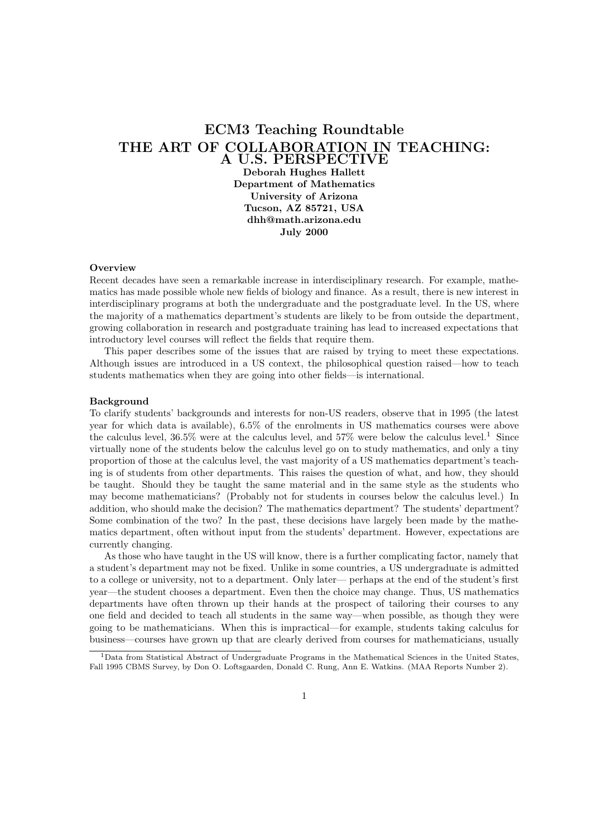# ECM3 Teaching Roundtable THE ART OF COLLABORATION IN TEACHING: A U.S. PERSPECTIVE

Deborah Hughes Hallett Department of Mathematics University of Arizona Tucson, AZ 85721, USA dhh@math.arizona.edu July 2000

## **Overview**

Recent decades have seen a remarkable increase in interdisciplinary research. For example, mathematics has made possible whole new fields of biology and finance. As a result, there is new interest in interdisciplinary programs at both the undergraduate and the postgraduate level. In the US, where the majority of a mathematics department's students are likely to be from outside the department, growing collaboration in research and postgraduate training has lead to increased expectations that introductory level courses will reflect the fields that require them.

This paper describes some of the issues that are raised by trying to meet these expectations. Although issues are introduced in a US context, the philosophical question raised—how to teach students mathematics when they are going into other fields—is international.

#### Background

To clarify students' backgrounds and interests for non-US readers, observe that in 1995 (the latest year for which data is available), 6.5% of the enrolments in US mathematics courses were above the calculus level, 36.5% were at the calculus level, and 57% were below the calculus level.<sup>1</sup> Since virtually none of the students below the calculus level go on to study mathematics, and only a tiny proportion of those at the calculus level, the vast majority of a US mathematics department's teaching is of students from other departments. This raises the question of what, and how, they should be taught. Should they be taught the same material and in the same style as the students who may become mathematicians? (Probably not for students in courses below the calculus level.) In addition, who should make the decision? The mathematics department? The students' department? Some combination of the two? In the past, these decisions have largely been made by the mathematics department, often without input from the students' department. However, expectations are currently changing.

As those who have taught in the US will know, there is a further complicating factor, namely that a student's department may not be fixed. Unlike in some countries, a US undergraduate is admitted to a college or university, not to a department. Only later— perhaps at the end of the student's first year—the student chooses a department. Even then the choice may change. Thus, US mathematics departments have often thrown up their hands at the prospect of tailoring their courses to any one field and decided to teach all students in the same way—when possible, as though they were going to be mathematicians. When this is impractical—for example, students taking calculus for business—courses have grown up that are clearly derived from courses for mathematicians, usually

<sup>1</sup>Data from Statistical Abstract of Undergraduate Programs in the Mathematical Sciences in the United States, Fall 1995 CBMS Survey, by Don O. Loftsgaarden, Donald C. Rung, Ann E. Watkins. (MAA Reports Number 2).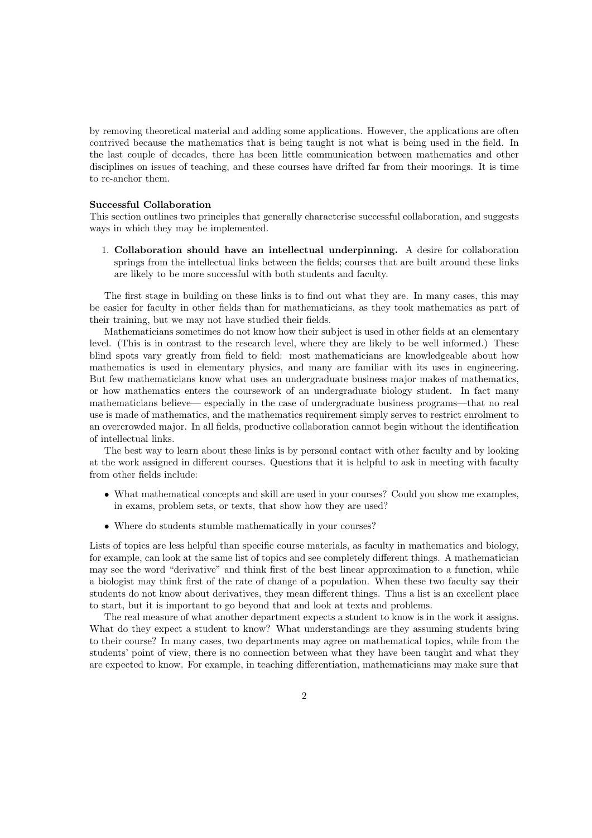by removing theoretical material and adding some applications. However, the applications are often contrived because the mathematics that is being taught is not what is being used in the field. In the last couple of decades, there has been little communication between mathematics and other disciplines on issues of teaching, and these courses have drifted far from their moorings. It is time to re-anchor them.

## Successful Collaboration

This section outlines two principles that generally characterise successful collaboration, and suggests ways in which they may be implemented.

1. Collaboration should have an intellectual underpinning. A desire for collaboration springs from the intellectual links between the fields; courses that are built around these links are likely to be more successful with both students and faculty.

The first stage in building on these links is to find out what they are. In many cases, this may be easier for faculty in other fields than for mathematicians, as they took mathematics as part of their training, but we may not have studied their fields.

Mathematicians sometimes do not know how their subject is used in other fields at an elementary level. (This is in contrast to the research level, where they are likely to be well informed.) These blind spots vary greatly from field to field: most mathematicians are knowledgeable about how mathematics is used in elementary physics, and many are familiar with its uses in engineering. But few mathematicians know what uses an undergraduate business major makes of mathematics, or how mathematics enters the coursework of an undergraduate biology student. In fact many mathematicians believe— especially in the case of undergraduate business programs—that no real use is made of mathematics, and the mathematics requirement simply serves to restrict enrolment to an overcrowded major. In all fields, productive collaboration cannot begin without the identification of intellectual links.

The best way to learn about these links is by personal contact with other faculty and by looking at the work assigned in different courses. Questions that it is helpful to ask in meeting with faculty from other fields include:

- What mathematical concepts and skill are used in your courses? Could you show me examples, in exams, problem sets, or texts, that show how they are used?
- Where do students stumble mathematically in your courses?

Lists of topics are less helpful than specific course materials, as faculty in mathematics and biology, for example, can look at the same list of topics and see completely different things. A mathematician may see the word "derivative" and think first of the best linear approximation to a function, while a biologist may think first of the rate of change of a population. When these two faculty say their students do not know about derivatives, they mean different things. Thus a list is an excellent place to start, but it is important to go beyond that and look at texts and problems.

The real measure of what another department expects a student to know is in the work it assigns. What do they expect a student to know? What understandings are they assuming students bring to their course? In many cases, two departments may agree on mathematical topics, while from the students' point of view, there is no connection between what they have been taught and what they are expected to know. For example, in teaching differentiation, mathematicians may make sure that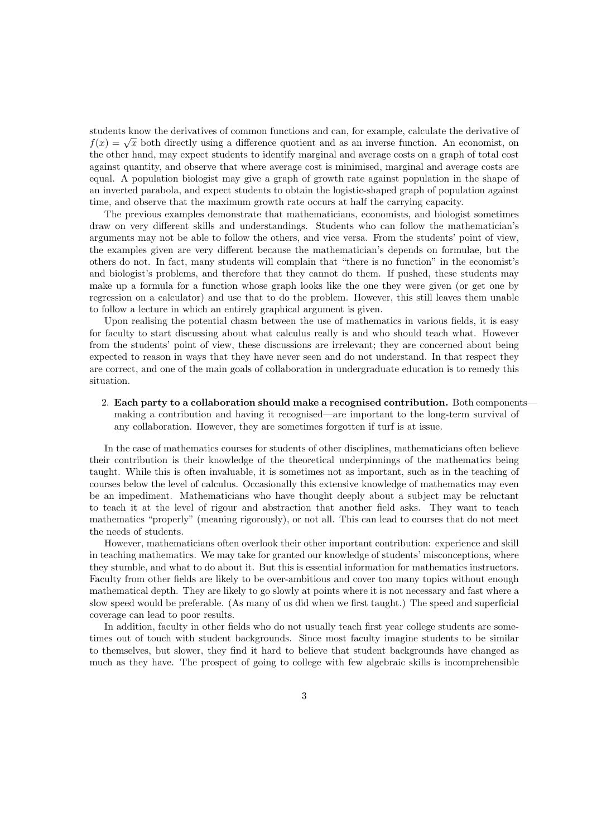students know the derivatives of common functions and can, for example, calculate the derivative of students know the derivatives of common functions and can, for example, calculate the derivative of  $f(x) = \sqrt{x}$  both directly using a difference quotient and as an inverse function. An economist, on the other hand, may expect students to identify marginal and average costs on a graph of total cost against quantity, and observe that where average cost is minimised, marginal and average costs are equal. A population biologist may give a graph of growth rate against population in the shape of an inverted parabola, and expect students to obtain the logistic-shaped graph of population against time, and observe that the maximum growth rate occurs at half the carrying capacity.

The previous examples demonstrate that mathematicians, economists, and biologist sometimes draw on very different skills and understandings. Students who can follow the mathematician's arguments may not be able to follow the others, and vice versa. From the students' point of view, the examples given are very different because the mathematician's depends on formulae, but the others do not. In fact, many students will complain that "there is no function" in the economist's and biologist's problems, and therefore that they cannot do them. If pushed, these students may make up a formula for a function whose graph looks like the one they were given (or get one by regression on a calculator) and use that to do the problem. However, this still leaves them unable to follow a lecture in which an entirely graphical argument is given.

Upon realising the potential chasm between the use of mathematics in various fields, it is easy for faculty to start discussing about what calculus really is and who should teach what. However from the students' point of view, these discussions are irrelevant; they are concerned about being expected to reason in ways that they have never seen and do not understand. In that respect they are correct, and one of the main goals of collaboration in undergraduate education is to remedy this situation.

2. Each party to a collaboration should make a recognised contribution. Both components making a contribution and having it recognised—are important to the long-term survival of any collaboration. However, they are sometimes forgotten if turf is at issue.

In the case of mathematics courses for students of other disciplines, mathematicians often believe their contribution is their knowledge of the theoretical underpinnings of the mathematics being taught. While this is often invaluable, it is sometimes not as important, such as in the teaching of courses below the level of calculus. Occasionally this extensive knowledge of mathematics may even be an impediment. Mathematicians who have thought deeply about a subject may be reluctant to teach it at the level of rigour and abstraction that another field asks. They want to teach mathematics "properly" (meaning rigorously), or not all. This can lead to courses that do not meet the needs of students.

However, mathematicians often overlook their other important contribution: experience and skill in teaching mathematics. We may take for granted our knowledge of students' misconceptions, where they stumble, and what to do about it. But this is essential information for mathematics instructors. Faculty from other fields are likely to be over-ambitious and cover too many topics without enough mathematical depth. They are likely to go slowly at points where it is not necessary and fast where a slow speed would be preferable. (As many of us did when we first taught.) The speed and superficial coverage can lead to poor results.

In addition, faculty in other fields who do not usually teach first year college students are sometimes out of touch with student backgrounds. Since most faculty imagine students to be similar to themselves, but slower, they find it hard to believe that student backgrounds have changed as much as they have. The prospect of going to college with few algebraic skills is incomprehensible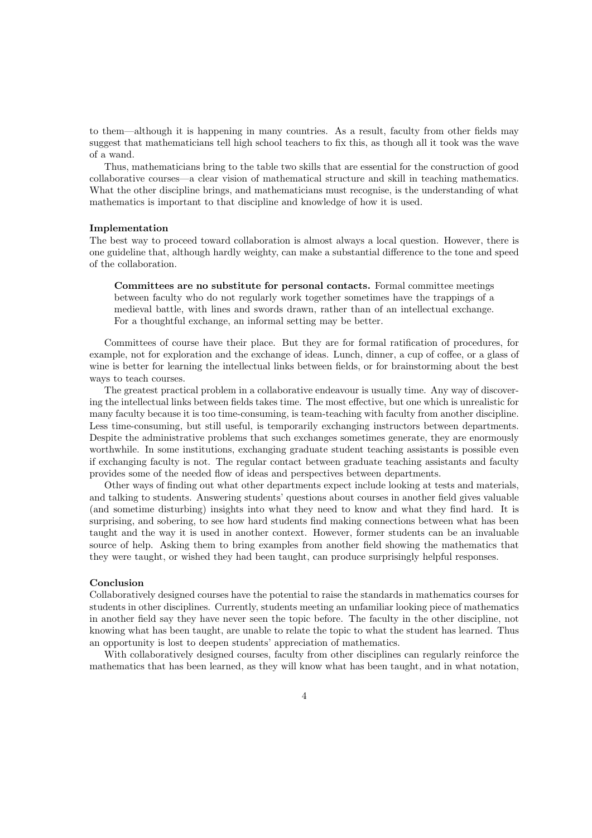to them—although it is happening in many countries. As a result, faculty from other fields may suggest that mathematicians tell high school teachers to fix this, as though all it took was the wave of a wand.

Thus, mathematicians bring to the table two skills that are essential for the construction of good collaborative courses—a clear vision of mathematical structure and skill in teaching mathematics. What the other discipline brings, and mathematicians must recognise, is the understanding of what mathematics is important to that discipline and knowledge of how it is used.

### Implementation

The best way to proceed toward collaboration is almost always a local question. However, there is one guideline that, although hardly weighty, can make a substantial difference to the tone and speed of the collaboration.

Committees are no substitute for personal contacts. Formal committee meetings between faculty who do not regularly work together sometimes have the trappings of a medieval battle, with lines and swords drawn, rather than of an intellectual exchange. For a thoughtful exchange, an informal setting may be better.

Committees of course have their place. But they are for formal ratification of procedures, for example, not for exploration and the exchange of ideas. Lunch, dinner, a cup of coffee, or a glass of wine is better for learning the intellectual links between fields, or for brainstorming about the best ways to teach courses.

The greatest practical problem in a collaborative endeavour is usually time. Any way of discovering the intellectual links between fields takes time. The most effective, but one which is unrealistic for many faculty because it is too time-consuming, is team-teaching with faculty from another discipline. Less time-consuming, but still useful, is temporarily exchanging instructors between departments. Despite the administrative problems that such exchanges sometimes generate, they are enormously worthwhile. In some institutions, exchanging graduate student teaching assistants is possible even if exchanging faculty is not. The regular contact between graduate teaching assistants and faculty provides some of the needed flow of ideas and perspectives between departments.

Other ways of finding out what other departments expect include looking at tests and materials, and talking to students. Answering students' questions about courses in another field gives valuable (and sometime disturbing) insights into what they need to know and what they find hard. It is surprising, and sobering, to see how hard students find making connections between what has been taught and the way it is used in another context. However, former students can be an invaluable source of help. Asking them to bring examples from another field showing the mathematics that they were taught, or wished they had been taught, can produce surprisingly helpful responses.

## Conclusion

Collaboratively designed courses have the potential to raise the standards in mathematics courses for students in other disciplines. Currently, students meeting an unfamiliar looking piece of mathematics in another field say they have never seen the topic before. The faculty in the other discipline, not knowing what has been taught, are unable to relate the topic to what the student has learned. Thus an opportunity is lost to deepen students' appreciation of mathematics.

With collaboratively designed courses, faculty from other disciplines can regularly reinforce the mathematics that has been learned, as they will know what has been taught, and in what notation,